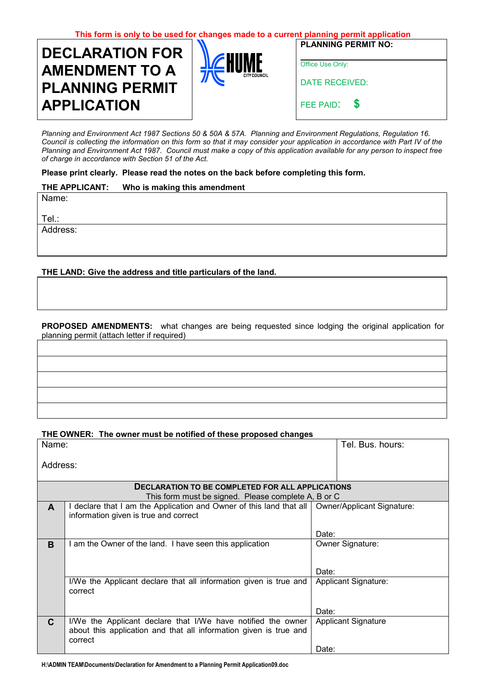| This form is only to be used for changes made to a current planning permit application |                     |                            |  |
|----------------------------------------------------------------------------------------|---------------------|----------------------------|--|
| <b>DECLARATION FOR</b>                                                                 |                     | <b>PLANNING PERMIT NO:</b> |  |
| <b>AMENDMENT TO A</b>                                                                  | <b>CITY COUNCIL</b> | Office Use Only:           |  |
| <b>PLANNING PERMIT</b>                                                                 |                     | DATE RECEIVED:             |  |
| <b>APPLICATION</b>                                                                     |                     | FEE PAID: \$               |  |

*Planning and Environment Act 1987 Sections 50 & 50A & 57A. Planning and Environment Regulations, Regulation 16. Council is collecting the information on this form so that it may consider your application in accordance with Part IV of the Planning and Environment Act 1987. Council must make a copy of this application available for any person to inspect free of charge in accordance with Section 51 of the Act.* 

**Please print clearly. Please read the notes on the back before completing this form.** 

## **THE APPLICANT: Who is making this amendment**

Name:

Tel.:

Address:

**THE LAND: Give the address and title particulars of the land.**

**PROPOSED AMENDMENTS:** what changes are being requested since lodging the original application for planning permit (attach letter if required)

# **THE OWNER: The owner must be notified of these proposed changes**

| Name:                                                   |                                                                                                                                              | Tel. Bus. hours:            |  |
|---------------------------------------------------------|----------------------------------------------------------------------------------------------------------------------------------------------|-----------------------------|--|
| Address:                                                |                                                                                                                                              |                             |  |
| <b>DECLARATION TO BE COMPLETED FOR ALL APPLICATIONS</b> |                                                                                                                                              |                             |  |
|                                                         | This form must be signed. Please complete A, B or C                                                                                          |                             |  |
| A                                                       | declare that I am the Application and Owner of this land that all   Owner/Applicant Signature:<br>information given is true and correct      |                             |  |
|                                                         |                                                                                                                                              | Date:                       |  |
| B                                                       | am the Owner of the land. I have seen this application                                                                                       | Owner Signature:            |  |
|                                                         |                                                                                                                                              | Date:                       |  |
|                                                         | I/We the Applicant declare that all information given is true and<br>correct                                                                 | <b>Applicant Signature:</b> |  |
|                                                         |                                                                                                                                              | Date:                       |  |
| $\mathbf{C}$                                            | I/We the Applicant declare that I/We have notified the owner<br>about this application and that all information given is true and<br>correct | <b>Applicant Signature</b>  |  |
|                                                         |                                                                                                                                              | Date:                       |  |